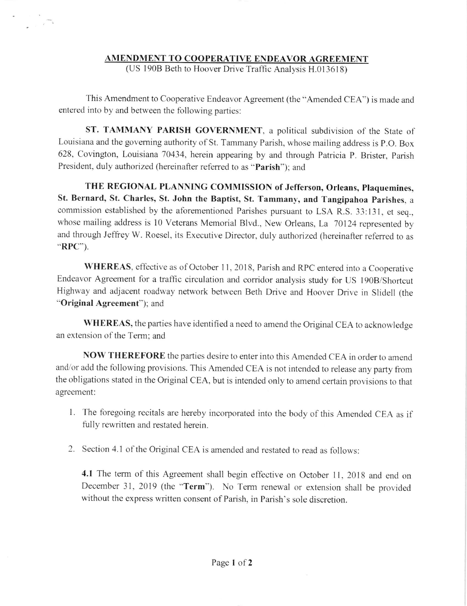## AMENDMENT TO COOPERATIVE ENDEAVOR AGREEMENT

(US 190B Beth to Hoover Drive Traffic Analysis H.013618)

This Amendment to Cooperative Endeavor Agreement (the "Amended CEA") is made and entered into by and between the following parties:

ST. TAMMANY PARISH GOVERNMENT, a political subdivision of the State of Louisiana and the governing authority of St. Tammany Parish, whose mailing address is P.O. Box 628, Covington, Louisiana 70434, herein appearing by and through Patricia P. Brister, parish President, duly authorized (hereinafter referred to as "Parish"); and

THE REGIONAL PLANNING COMMISSION of Jefferson, Orleans, plaquemines, St. Bernard, St. Charles, St. John the Baptist, St. Tammany, and Tangipahoa Parishes, a commission established by the aforementioned parishes pursuant to LSA R.S.33:131, et seq., whose mailing address is 10 Veterans Memorial Blvd., New Orleans, La 70124 represented by and through Jeffiey W. Roesel, its Executive Director, duly authorized (hereinafter referred to as ''RPC").

WHEREAS, effective as of October 11, 2018, Parish and RPC entered into a Cooperative Endeavor Agreement for a traffic circulation and corridor analysis study for US 190B/Shortcut Highway and adjacent roadway network between Beth Drive and Hoover Drive in Slidell (the "Original Agreement"); and

WHEREAS, the parties have identified a need to amend the Original CEA to acknowledge an extension of the Term: and

NOW THEREFORE the parties desire to enter into this Amended CEA in order to amend and/or add the fbllowing provisions. This Amended CEA is not intended to release any party from the obligations stated in the Original CEA, but is intended only to amend certain provisions to that agreement:

- 1. The foregoing recitals are hereby incorporated into the body of this Amended CEA as if fully rewritten and restated herein.
- 2. Section 4.1 of the Original CEA is amended and restated to read as follows:

4.1 The term of this Agreement shall begin effective on October 11, 2018 and end on December 3I, 2019 (the "Term"). No Term renewal or extension shall be provided without the express written consent of Parish, in Parish's sole discretion.